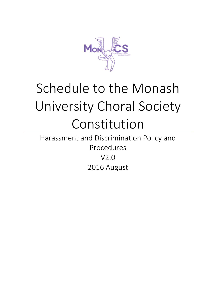

# Schedule to the Monash University Choral Society Constitution

Harassment and Discrimination Policy and Procedures V2.0 2016 August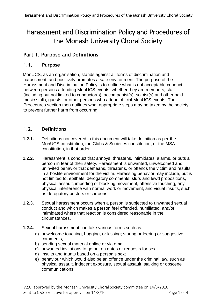# Harassment and Discrimination Policy and Procedures of the Monash University Choral Society

# **Part 1. Purpose and Definitions**

## **1.1. Purpose**

MonUCS, as an organisation, stands against all forms of discrimination and harassment, and positively promotes a safe environment. The purpose of the Harassment and Discrimination Policy is to outline what is not acceptable conduct between persons attending MonUCS events, whether they are members, staff (including but not limited to conductor(s), accompanist(s), soloist(s) and other paid music staff), guests, or other persons who attend official MonUCS events. The Procedures section then outlines what appropriate steps may be taken by the society to prevent further harm from occurring.

#### **1.2. Definitions**

- **1.2.1.** Definitions not covered in this document will take definition as per the MonUCS constitution, the Clubs & Societies constitution, or the MSA constitution, in that order.
- **1.2.2.** Harassment is conduct that annoys, threatens, intimidates, alarms, or puts a person in fear of their safety. Harassment is unwanted, unwelcomed and uninvited behavior that demeans, threatens, or offends the victim and results in a hostile environment for the victim. Harassing behavior may include, but is not limited to, epithets, derogatory comments, slurs and lewd propositions, physical assault, impeding or blocking movement, offensive touching, any physical interference with normal work or movement, and visual insults, such as derogatory posters or cartoons.
- **1.2.3.** Sexual harassment occurs when a person is subjected to unwanted sexual conduct and which makes a person feel offended, humiliated, and/or intimidated where that reaction is considered reasonable in the circumstances.
- **1.2.4.** Sexual harassment can take various forms such as:
	- a) unwelcome touching, hugging, or kissing; staring or leering or suggestive comments;
	- b) sending sexual material online or via email;
	- c) unwanted invitations to go out on dates or requests for sex;
	- d) insults and taunts based on a person's sex;
	- e) behaviour which would also be an offence under the criminal law, such as physical assault, indecent exposure, sexual assault, stalking or obscene communications.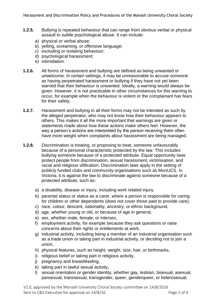Harassment and Discrimination Policy and Procedures of the Monash University Choral Society

- **1.2.5.** Bullying is repeated behaviour that can range from obvious verbal or physical assault to subtle psychological abuse. It can include:
	- a) physical or verbal abuse;
	- b) yelling, screaming, or offensive language;
	- c) excluding or isolating behaviour;
	- d) psychological harassment;
	- e) intimidation.
- **1.2.6.** All forms of harassment and bullying are defined as being unwanted or unwelcome. In certain settings, it may be unreasonable to accuse someone as having perpetrated harassment or bullying if they have not yet been warned that their behaviour is unwanted. Ideally, a warning would always be given. However, it is not practicable in other circumstances for this warning to occur, for example when the behaviour is violent or the complainant has fears for their safety.
- **1.2.7.** Harassment and bullying in all their forms may not be intended as such by the alleged perpetrator, who may not know how their behaviour appears to others. This makes it all the more important that warnings are given or statements made about how these actions make others feel. However, the way a person's actions are interpreted by the person receiving them often have more weight when complaints about harassment are being managed.
- **1.2.8.** Discrimination is treating, or proposing to treat, someone unfavourably because of a personal characteristic protected by the law. This includes bullying someone because of a protected attribute. Equal opportunity laws protect people from discrimination, sexual harassment, victimisation, and racial and religious vilification. Discrimination laws apply in the setting of publicly funded clubs and community organisations such as MonUCS. In Victoria, it is against the law to discriminate against someone because of a protected attribute, such as:
	- a) a disability, disease or injury, including work related injury,
	- b) parental status or status as a carer, where a person is responsible for caring for children or other dependents (does not cover those paid to provide care),
	- c) race, colour, descent, nationality, ancestry, or ethnic background,
	- d) age, whether young or old, or because of age in general,
	- e) sex, whether male, female, or intersex,
	- f) employment activity, for example because they ask questions or raise concerns about their rights or entitlements at work,
	- g) industrial activity, including being a member of an industrial organisation such as a trade union or taking part in industrial activity, or deciding not to join a union,
	- h) physical features, such as height, weight, size, hair, or birthmarks,
	- i) religious belief or taking part in religious activity,
	- j) pregnancy and breastfeeding,
	- k) taking part in lawful sexual activity,
	- l) sexual orientation or gender identity, whether gay, lesbian, bisexual, asexual, pansexual, transsexual, transgender, queer, genderqueer, or heterosexual,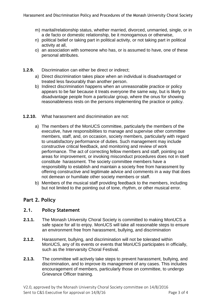- m) marital/relationship status, whether married, divorced, unmarried, single, or in a de facto or domestic relationship, be it monogamous or otherwise,
- n) political belief or taking part in political activity, or not taking part in political activity at all,
- o) an association with someone who has, or is assumed to have, one of these personal attributes.
- **1.2.9.** Discrimination can either be direct or indirect;
	- a) Direct discrimination takes place when an individual is disadvantaged or treated less favourably than another person.
	- b) Indirect discrimination happens when an unreasonable practice or policy appears to be fair because it treats everyone the same way, but is likely to disadvantage people from a particular group, where the onus for showing reasonableness rests on the persons implementing the practice or policy.
- **1.2.10.** What harassment and discrimination are not:
	- a) The members of the MonUCS committee, particularly the members of the executive, have responsibilities to manage and supervise other committee members, staff, and, on occasion, society members, particularly with regard to unsatisfactory performance of duties. Such management may include constructive critical feedback, and monitoring and review of work performance. The act of correcting fellow members and staff, pointing out areas for improvement, or invoking misconduct procedures does not in itself constitute harassment. The society committee members have a responsibility to establish and maintain a society free from harassment by offering constructive and legitimate advice and comments in a way that does not demean or humiliate other society members or staff.
	- b) Members of the musical staff providing feedback to the members, including but not limited to the pointing out of tone, rhythm, or other musical error.

## **Part 2. Policy**

#### **2.1. Policy Statement**

- **2.1.1.** The Monash University Choral Society is committed to making MonUCS a safe space for all to enjoy. MonUCS will take all reasonable steps to ensure an environment free from harassment, bullying, and discrimination
- **2.1.2.** Harassment, bullying, and discrimination will not be tolerated within MonUCS, any of its events or events that MonUCS participates in officially, such as the Intervarsity Choral Festival.
- **2.1.3.** The committee will actively take steps to prevent harassment, bullying, and discrimination, and to improve its management of any cases. This includes encouragement of members, particularly those on committee, to undergo Grievance Officer training.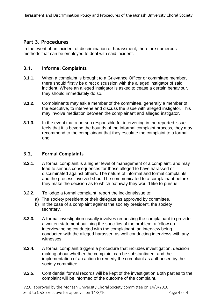## **Part 3. Procedures**

In the event of an incident of discrimination or harassment, there are numerous methods that can be employed to deal with said incident.

#### **3.1. Informal Complaints**

- **3.1.1.** When a complaint is brought to a Grievance Officer or committee member, there should firstly be direct discussion with the alleged instigator of said incident. Where an alleged instigator is asked to cease a certain behaviour, they should immediately do so.
- **3.1.2.** Complainants may ask a member of the committee, generally a member of the executive, to intervene and discuss the issue with alleged instigator. This may involve mediation between the complainant and alleged instigator.
- **3.1.3.** In the event that a person responsible for intervening in the reported issue feels that it is beyond the bounds of the informal complaint process, they may recommend to the complainant that they escalate the complaint to a formal one.

#### **3.2. Formal Complaints**

- **3.2.1.** A formal complaint is a higher level of management of a complaint, and may lead to serious consequences for those alleged to have harassed or discriminated against others. The nature of informal and formal complaints and the process involved should be communicated to a complainant before they make the decision as to which pathway they would like to pursue.
- **3.2.2.** To lodge a formal complaint, report the incident/issue to:
	- a) The society president or their delegate as approved by committee.
	- b) In the case of a complaint against the society president, the society secretary.
- **3.2.3.** A formal investigation usually involves requesting the complainant to provide a written statement outlining the specifics of the problem, a follow up interview being conducted with the complainant, an interview being conducted with the alleged harasser, as well conducting interviews with any witnesses.
- **3.2.4.** A formal complaint triggers a procedure that includes investigation, decisionmaking about whether the complaint can be substantiated, and the implementation of an action to remedy the complaint as authorised by the society committee.
- **3.2.5.** Confidential formal records will be kept of the investigation.Both parties to the complaint will be informed of the outcome of the complaint.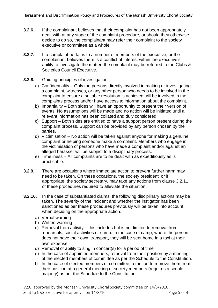- **3.2.6.** If the complainant believes that their complaint has not been appropriately dealt with at any stage of the complaint procedure, or should they otherwise decide to do so, the complainant may refer their complaint to the society executive or committee as a whole.
- **3.2.7.** If a complaint pertains to a number of members of the executive, or the complainant believes there is a conflict of interest within the executive's ability to investigate the matter, the complaint may be referred to the Clubs & Societies Council Executive.
- **3.2.8.** Guiding principles of investigation:
	- a) Confidentiality Only the persons directly involved in making or investigating a complaint, witnesses, or any other person who needs to be involved in the complaint to ensure a suitable resolution is achieved will be involved in the complaints process and/or have access to information about the complaint.
	- b) Impartiality Both sides will have an opportunity to present their version of events. No assumptions will be made and no action will be initiated until all relevant information has been collated and duly considered.
	- c) Support Both sides are entitled to have a support person present during the complaint process. Support can be provided by any person chosen by the parties.
	- d) Victimisation No action will be taken against anyone for making a genuine complaint or helping someone make a complaint. Members who engage in the victimisation of persons who have made a complaint and/or against an alleged harasser will be subject to a disciplinary process.
	- e) Timeliness All complaints are to be dealt with as expeditiously as is practicable.
- **3.2.9.** There are occasions where immediate action to prevent further harm may need to be taken. On these occasions, the society president, or if appropriate, the society secretary, may take any actions from clause 3.2.11 of these procedures required to alleviate the situation.
- **3.2.10.** In the case of substantiated claims, the following disciplinary actions may be taken. The severity of the incident and whether the instigator has been sanctioned as per these procedures previously will be taken into account when deciding on the appropriate action.
	- a) Verbal warning
	- b) Written warning
	- c) Removal from activity this includes but is not limited to removal from rehearsals, social activities or camp. In the case of camp, where the person does not have their own transport, they will be sent home in a taxi at their own expense.
	- d) Removal of ability to sing in concert(s) for a period of time
	- e) In the case of appointed members, removal from their position by a meeting of the elected members of committee as per the Schedule to the Constitution.
	- f) In the case of elected members of committee, a motion to remove them from their position at a general meeting of society members (requires a simple majority) as per the Schedule to the Constitution.